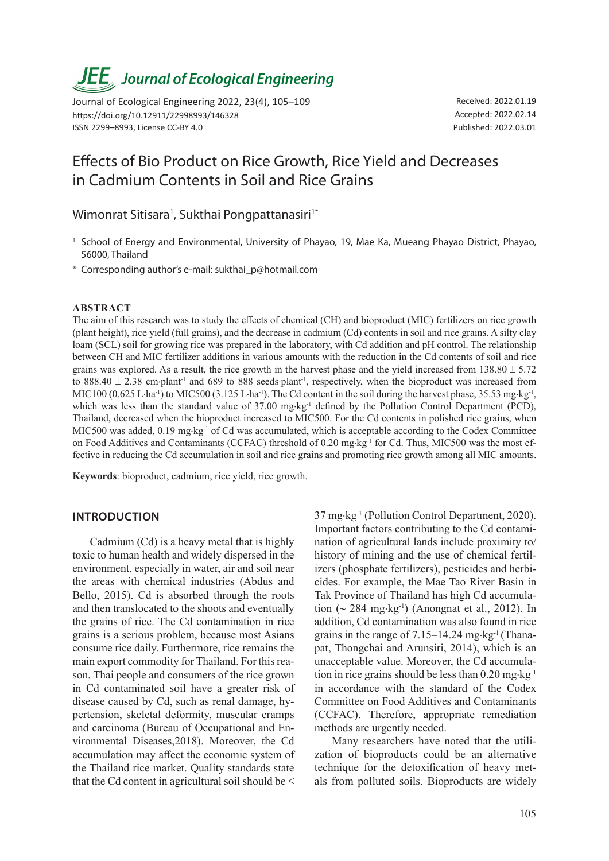# *JEE<sub>,</sub> Journal of Ecological Engineering*

Journal of Ecological Engineering 2022, 23(4), 105–109 https://doi.org/10.12911/22998993/146328 ISSN 2299–8993, License CC-BY 4.0

Received: 2022.01.19 Accepted: 2022.02.14 Published: 2022.03.01

# Effects of Bio Product on Rice Growth, Rice Yield and Decreases in Cadmium Contents in Soil and Rice Grains

Wimonrat Sitisara<sup>1</sup>, Sukthai Pongpattanasiri<sup>1\*</sup>

- <sup>1</sup> School of Energy and Environmental, University of Phayao, 19, Mae Ka, Mueang Phayao District, Phayao, 56000, Thailand
- \* Corresponding author's e-mail: sukthai\_p@hotmail.com

#### **ABSTRACT**

The aim of this research was to study the effects of chemical (CH) and bioproduct (MIC) fertilizers on rice growth (plant height), rice yield (full grains), and the decrease in cadmium (Cd) contents in soil and rice grains. A silty clay loam (SCL) soil for growing rice was prepared in the laboratory, with Cd addition and pH control. The relationship between CH and MIC fertilizer additions in various amounts with the reduction in the Cd contents of soil and rice grains was explored. As a result, the rice growth in the harvest phase and the yield increased from  $138.80 \pm 5.72$ to 888.40  $\pm$  2.38 cm⋅plant<sup>-1</sup> and 689 to 888 seeds⋅plant<sup>-1</sup>, respectively, when the bioproduct was increased from MIC100 (0.625 L⋅ha<sup>-1</sup>) to MIC500 (3.125 L⋅ha<sup>-1</sup>). The Cd content in the soil during the harvest phase, 35.53 mg⋅kg<sup>-1</sup>, which was less than the standard value of 37.00 mg⋅kg<sup>-1</sup> defined by the Pollution Control Department (PCD), Thailand, decreased when the bioproduct increased to MIC500. For the Cd contents in polished rice grains, when MIC500 was added, 0.19 mg⋅kg<sup>-1</sup> of Cd was accumulated, which is acceptable according to the Codex Committee on Food Additives and Contaminants (CCFAC) threshold of 0.20 mg⋅kg<sup>-1</sup> for Cd. Thus, MIC500 was the most effective in reducing the Cd accumulation in soil and rice grains and promoting rice growth among all MIC amounts.

**Keywords**: bioproduct, cadmium, rice yield, rice growth.

#### **INTRODUCTION**

Cadmium (Cd) is a heavy metal that is highly toxic to human health and widely dispersed in the environment, especially in water, air and soil near the areas with chemical industries (Abdus and Bello, 2015). Cd is absorbed through the roots and then translocated to the shoots and eventually the grains of rice. The Cd contamination in rice grains is a serious problem, because most Asians consume rice daily. Furthermore, rice remains the main export commodity for Thailand. For this reason, Thai people and consumers of the rice grown in Cd contaminated soil have a greater risk of disease caused by Cd, such as renal damage, hypertension, skeletal deformity, muscular cramps and carcinoma (Bureau of Occupational and Environmental Diseases,2018). Moreover, the Cd accumulation may affect the economic system of the Thailand rice market. Quality standards state that the Cd content in agricultural soil should be <

37 mg⋅kg-1 (Pollution Control Department, 2020). Important factors contributing to the Cd contamination of agricultural lands include proximity to/ history of mining and the use of chemical fertilizers (phosphate fertilizers), pesticides and herbicides. For example, the Mae Tao River Basin in Tak Province of Thailand has high Cd accumulation (∼ 284 mg⋅kg-1) (Anongnat et al., 2012). In addition, Cd contamination was also found in rice grains in the range of  $7.15-14.24$  mg⋅kg<sup>-1</sup> (Thanapat, Thongchai and Arunsiri, 2014), which is an unacceptable value. Moreover, the Cd accumulation in rice grains should be less than  $0.20$  mg⋅kg<sup>-1</sup> in accordance with the standard of the Codex Committee on Food Additives and Contaminants (CCFAC). Therefore, appropriate remediation methods are urgently needed.

Many researchers have noted that the utilization of bioproducts could be an alternative technique for the detoxification of heavy metals from polluted soils. Bioproducts are widely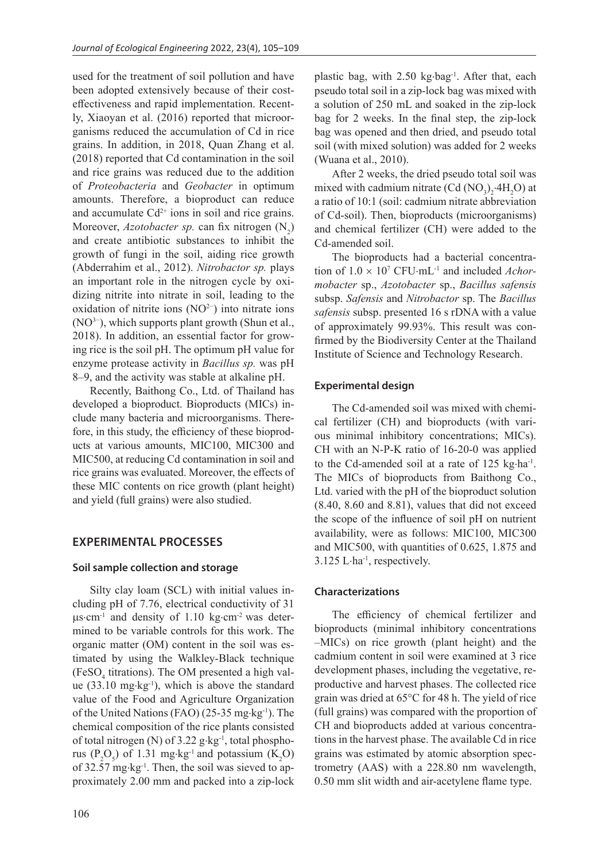used for the treatment of soil pollution and have been adopted extensively because of their costeffectiveness and rapid implementation. Recently, Xiaoyan et al. (2016) reported that microorganisms reduced the accumulation of Cd in rice grains. In addition, in 2018, Quan Zhang et al. (2018) reported that Cd contamination in the soil and rice grains was reduced due to the addition of *Proteobacteria* and *Geobacter* in optimum amounts. Therefore, a bioproduct can reduce and accumulate  $Cd^{2+}$  ions in soil and rice grains. Moreover, *Azotobacter sp.* can fix nitrogen (N<sub>2</sub>) and create antibiotic substances to inhibit the growth of fungi in the soil, aiding rice growth (Abderrahim et al., 2012). *Nitrobactor sp.* plays an important role in the nitrogen cycle by oxidizing nitrite into nitrate in soil, leading to the oxidation of nitrite ions (NO2−) into nitrate ions (NO3−), which supports plant growth (Shun et al., 2018). In addition, an essential factor for growing rice is the soil pH. The optimum pH value for enzyme protease activity in *Bacillus sp.* was pH 8–9, and the activity was stable at alkaline pH.

Recently, Baithong Co., Ltd. of Thailand has developed a bioproduct. Bioproducts (MICs) include many bacteria and microorganisms. Therefore, in this study, the efficiency of these bioproducts at various amounts, MIC100, MIC300 and MIC500, at reducing Cd contamination in soil and rice grains was evaluated. Moreover, the effects of these MIC contents on rice growth (plant height) and yield (full grains) were also studied.

# **EXPERIMENTAL PROCESSES**

## **Soil sample collection and storage**

Silty clay loam (SCL) with initial values including pH of 7.76, electrical conductivity of 31 µs⋅cm<sup>-1</sup> and density of 1.10 kg⋅cm<sup>-2</sup> was determined to be variable controls for this work. The organic matter (OM) content in the soil was estimated by using the Walkley-Black technique (FeSO<sub>4</sub> titrations). The OM presented a high value  $(33.10 \text{ mg} \cdot \text{kg}^{-1})$ , which is above the standard value of the Food and Agriculture Organization of the United Nations (FAO) (25-35 mg⋅kg-1). The chemical composition of the rice plants consisted of total nitrogen (N) of  $3.22$  g⋅kg<sup>-1</sup>, total phosphorus  $(P_2O_5)$  of 1.31 mg⋅kg<sup>-1</sup> and potassium  $(K_2O)$ of 32.57 mg⋅kg-1. Then, the soil was sieved to approximately 2.00 mm and packed into a zip-lock

plastic bag, with 2.50 kg⋅bag<sup>-1</sup>. After that, each pseudo total soil in a zip-lock bag was mixed with a solution of 250 mL and soaked in the zip-lock bag for 2 weeks. In the final step, the zip-lock bag was opened and then dried, and pseudo total soil (with mixed solution) was added for 2 weeks (Wuana et al., 2010).

After 2 weeks, the dried pseudo total soil was mixed with cadmium nitrate  $(Cd (NO<sub>3</sub>)<sub>2</sub>·4H<sub>2</sub>O)$  at a ratio of 10:1 (soil: cadmium nitrate abbreviation of Cd-soil). Then, bioproducts (microorganisms) and chemical fertilizer (CH) were added to the Cd-amended soil.

The bioproducts had a bacterial concentration of 1.0 × 107 CFU⋅mL-1 and included *Achormobacter* sp., *Azotobacter* sp., *Bacillus safensis* subsp. *Safensis* and *Nitrobactor* sp. The *Bacillus safensis* subsp. presented 16 s rDNA with a value of approximately 99.93%. This result was confirmed by the Biodiversity Center at the Thailand Institute of Science and Technology Research.

#### **Experimental design**

The Cd-amended soil was mixed with chemical fertilizer (CH) and bioproducts (with various minimal inhibitory concentrations; MICs). CH with an N-P-K ratio of 16-20-0 was applied to the Cd-amended soil at a rate of 125 kg⋅ha<sup>-1</sup>. The MICs of bioproducts from Baithong Co., Ltd. varied with the pH of the bioproduct solution (8.40, 8.60 and 8.81), values that did not exceed the scope of the influence of soil pH on nutrient availability, were as follows: MIC100, MIC300 and MIC500, with quantities of 0.625, 1.875 and 3.125 L⋅ha-1, respectively.

#### **Characterizations**

The efficiency of chemical fertilizer and bioproducts (minimal inhibitory concentrations –MICs) on rice growth (plant height) and the cadmium content in soil were examined at 3 rice development phases, including the vegetative, reproductive and harvest phases. The collected rice grain was dried at 65°C for 48 h. The yield of rice (full grains) was compared with the proportion of CH and bioproducts added at various concentrations in the harvest phase. The available Cd in rice grains was estimated by atomic absorption spectrometry (AAS) with a 228.80 nm wavelength, 0.50 mm slit width and air-acetylene flame type.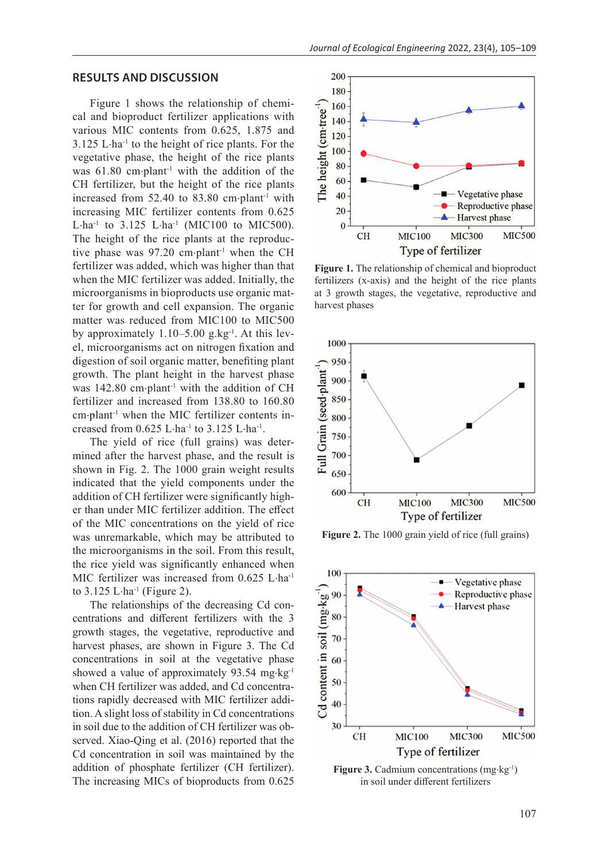# **RESULTS AND DISCUSSION**

Figure 1 shows the relationship of chemical and bioproduct fertilizer applications with various MIC contents from 0.625, 1.875 and 3.125 L⋅ha<sup>-1</sup> to the height of rice plants. For the vegetative phase, the height of the rice plants was 61.80 cm⋅plant<sup>-1</sup> with the addition of the CH fertilizer, but the height of the rice plants increased from 52.40 to 83.80 cm⋅plant-1 with increasing MIC fertilizer contents from 0.625 L⋅ha<sup>-1</sup> to 3.125 L⋅ha<sup>-1</sup> (MIC100 to MIC500). The height of the rice plants at the reproductive phase was 97.20 cm⋅plant-1 when the CH fertilizer was added, which was higher than that when the MIC fertilizer was added. Initially, the microorganisms in bioproducts use organic matter for growth and cell expansion. The organic matter was reduced from MIC100 to MIC500 by approximately 1.10–5.00 g.kg-1. At this level, microorganisms act on nitrogen fixation and digestion of soil organic matter, benefiting plant growth. The plant height in the harvest phase was 142.80 cm⋅plant<sup>-1</sup> with the addition of CH fertilizer and increased from 138.80 to 160.80 cm⋅plant-1 when the MIC fertilizer contents increased from 0.625 L⋅ha-1 to 3.125 L⋅ha-1.

The yield of rice (full grains) was determined after the harvest phase, and the result is shown in Fig. 2. The 1000 grain weight results indicated that the yield components under the addition of CH fertilizer were significantly higher than under MIC fertilizer addition. The effect of the MIC concentrations on the yield of rice was unremarkable, which may be attributed to the microorganisms in the soil. From this result, the rice yield was significantly enhanced when MIC fertilizer was increased from 0.625 L⋅ha<sup>-1</sup> to  $3.125$  L⋅ha<sup>-1</sup> (Figure 2).

The relationships of the decreasing Cd concentrations and different fertilizers with the 3 growth stages, the vegetative, reproductive and harvest phases, are shown in Figure 3. The Cd concentrations in soil at the vegetative phase showed a value of approximately 93.54 mg⋅kg<sup>-1</sup> when CH fertilizer was added, and Cd concentrations rapidly decreased with MIC fertilizer addition. A slight loss of stability in Cd concentrations in soil due to the addition of CH fertilizer was observed. Xiao-Qing et al. (2016) reported that the Cd concentration in soil was maintained by the addition of phosphate fertilizer (CH fertilizer). The increasing MICs of bioproducts from 0.625



**Figure 1.** The relationship of chemical and bioproduct fertilizers (x-axis) and the height of the rice plants at 3 growth stages, the vegetative, reproductive and harvest phases



Figure 2. The 1000 grain yield of rice (full grains)



**Figure 3.** Cadmium concentrations (mg⋅kg-1) in soil under different fertilizers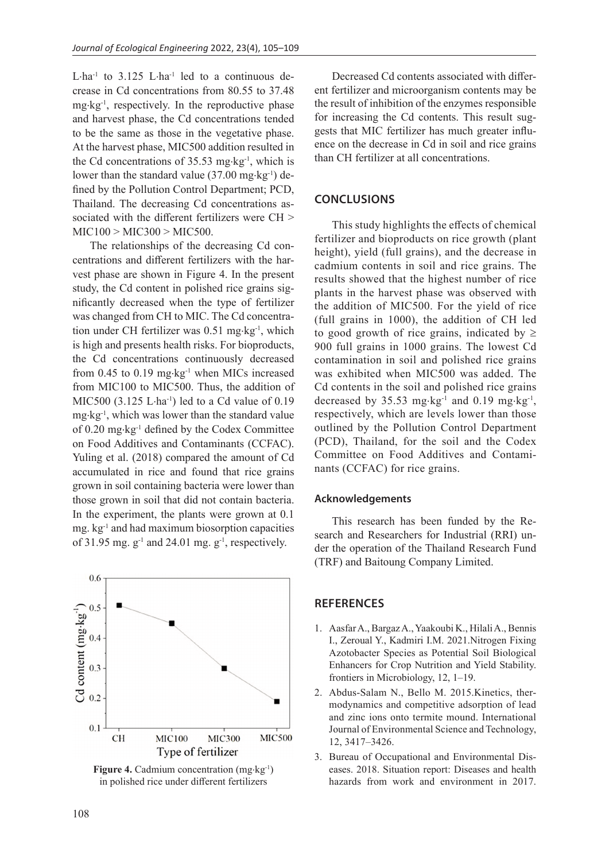L⋅ha<sup>-1</sup> to 3.125 L⋅ha<sup>-1</sup> led to a continuous decrease in Cd concentrations from 80.55 to 37.48  $mg \cdot kg^{-1}$ , respectively. In the reproductive phase and harvest phase, the Cd concentrations tended to be the same as those in the vegetative phase. At the harvest phase, MIC500 addition resulted in the Cd concentrations of 35.53 mg⋅kg-1, which is lower than the standard value  $(37.00 \text{ mg} \cdot \text{kg}^{-1})$  defined by the Pollution Control Department; PCD, Thailand. The decreasing Cd concentrations associated with the different fertilizers were CH >  $MIC100 > MIC300 > MIC500.$ 

The relationships of the decreasing Cd concentrations and different fertilizers with the harvest phase are shown in Figure 4. In the present study, the Cd content in polished rice grains significantly decreased when the type of fertilizer was changed from CH to MIC. The Cd concentration under CH fertilizer was 0.51 mg⋅kg-1, which is high and presents health risks. For bioproducts, the Cd concentrations continuously decreased from  $0.45$  to  $0.19$  mg⋅kg<sup>-1</sup> when MICs increased from MIC100 to MIC500. Thus, the addition of MIC500  $(3.125 \text{ L} \cdot \text{ha}^{-1})$  led to a Cd value of 0.19  $mg \cdot kg^{-1}$ , which was lower than the standard value of 0.20 mg⋅kg-1 defined by the Codex Committee on Food Additives and Contaminants (CCFAC). Yuling et al. (2018) compared the amount of Cd accumulated in rice and found that rice grains grown in soil containing bacteria were lower than those grown in soil that did not contain bacteria. In the experiment, the plants were grown at 0.1 mg. kg-1 and had maximum biosorption capacities of 31.95 mg.  $g^{-1}$  and 24.01 mg.  $g^{-1}$ , respectively.



**Figure 4.** Cadmium concentration (mg⋅kg-1) in polished rice under different fertilizers

Decreased Cd contents associated with different fertilizer and microorganism contents may be the result of inhibition of the enzymes responsible for increasing the Cd contents. This result suggests that MIC fertilizer has much greater influence on the decrease in Cd in soil and rice grains than CH fertilizer at all concentrations.

# **CONCLUSIONS**

This study highlights the effects of chemical fertilizer and bioproducts on rice growth (plant height), yield (full grains), and the decrease in cadmium contents in soil and rice grains. The results showed that the highest number of rice plants in the harvest phase was observed with the addition of MIC500. For the yield of rice (full grains in 1000), the addition of CH led to good growth of rice grains, indicated by  $\geq$ 900 full grains in 1000 grains. The lowest Cd contamination in soil and polished rice grains was exhibited when MIC500 was added. The Cd contents in the soil and polished rice grains decreased by  $35.53$  mg⋅kg<sup>-1</sup> and  $0.19$  mg⋅kg<sup>-1</sup>, respectively, which are levels lower than those outlined by the Pollution Control Department (PCD), Thailand, for the soil and the Codex Committee on Food Additives and Contaminants (CCFAC) for rice grains.

#### **Acknowledgements**

This research has been funded by the Research and Researchers for Industrial (RRI) under the operation of the Thailand Research Fund (TRF) and Baitoung Company Limited.

# **REFERENCES**

- 1. Aasfar A., Bargaz A., Yaakoubi K., Hilali A., Bennis I., Zeroual Y., Kadmiri I.M. 2021.Nitrogen Fixing Azotobacter Species as Potential Soil Biological Enhancers for Crop Nutrition and Yield Stability. frontiers in Microbiology, 12, 1–19.
- 2. Abdus-Salam N., Bello M. 2015.Kinetics, thermodynamics and competitive adsorption of lead and zinc ions onto termite mound. International Journal of Environmental Science and Technology, 12, 3417–3426.
- 3. Bureau of Occupational and Environmental Diseases. 2018. Situation report: Diseases and health hazards from work and environment in 2017.